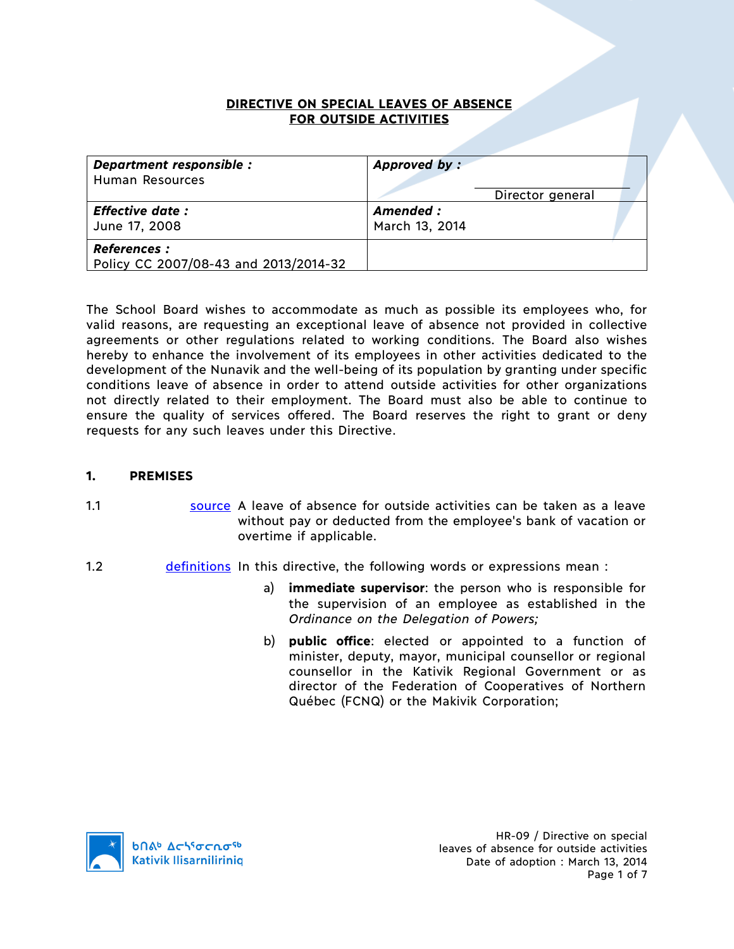#### **DIRECTIVE ON SPECIAL LEAVES OF ABSENCE FOR OUTSIDE ACTIVITIES**

| Department responsible :<br>Human Resources                  | Approved by:<br>Director general |  |
|--------------------------------------------------------------|----------------------------------|--|
| Effective date :<br>June 17, 2008                            | Amended :<br>March 13, 2014      |  |
| <b>References :</b><br>Policy CC 2007/08-43 and 2013/2014-32 |                                  |  |

The School Board wishes to accommodate as much as possible its employees who, for valid reasons, are requesting an exceptional leave of absence not provided in collective agreements or other regulations related to working conditions. The Board also wishes hereby to enhance the involvement of its employees in other activities dedicated to the development of the Nunavik and the well-being of its population by granting under specific conditions leave of absence in order to attend outside activities for other organizations not directly related to their employment. The Board must also be able to continue to ensure the quality of services offered. The Board reserves the right to grant or deny requests for any such leaves under this Directive.

### **1. PREMISES**

- 1.1 source A leave of absence for outside activities can be taken as a leave without pay or deducted from the employee's bank of vacation or overtime if applicable.
- 1.2 **definitions** In this directive, the following words or expressions mean :
	- a) **immediate supervisor**: the person who is responsible for the supervision of an employee as established in the *Ordinance on the Delegation of Powers;*
	- b) **public office**: elected or appointed to a function of minister, deputy, mayor, municipal counsellor or regional counsellor in the Kativik Regional Government or as director of the Federation of Cooperatives of Northern Québec (FCNQ) or the Makivik Corporation;



HR-09 / Directive on special leaves of absence for outside activities Date of adoption : March 13, 2014 Page 1 of 7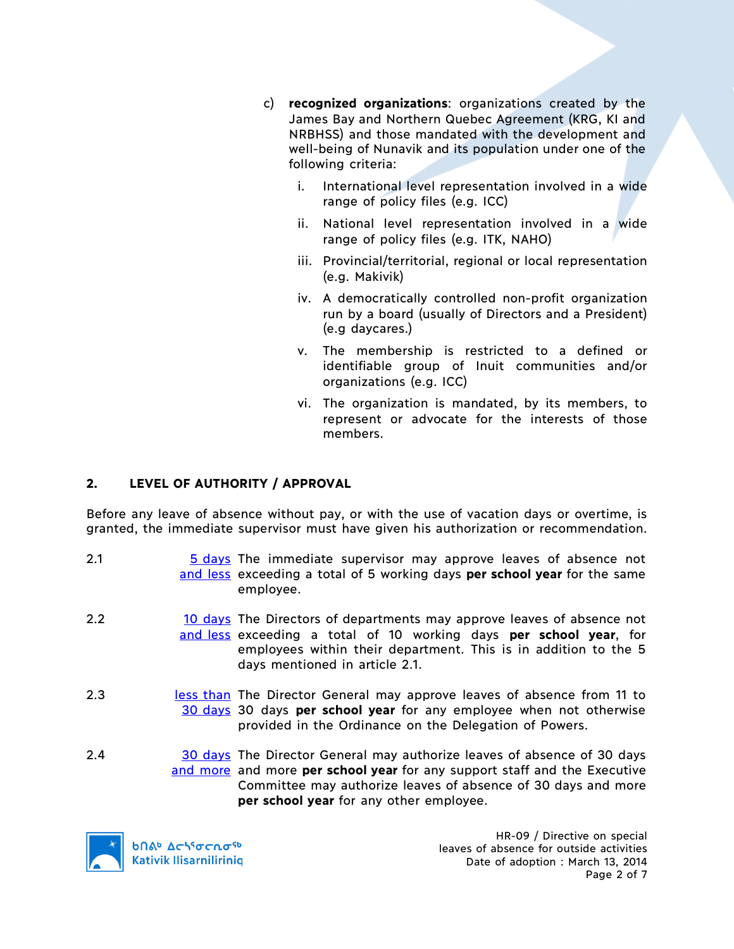- c) **recognized organizations**: organizations created by the James Bay and Northern Quebec Agreement (KRG, KI and NRBHSS) and those mandated with the development and well-being of Nunavik and its population under one of the following criteria:
	- i. International level representation involved in a wide range of policy files (e.g. ICC)
	- ii. National level representation involved in a wide range of policy files (e.g. ITK, NAHO)
	- iii. Provincial/territorial, regional or local representation (e.g. Makivik)
	- iv. A democratically controlled non-profit organization run by a board (usually of Directors and a President) (e.g daycares.)
	- v. The membership is restricted to a defined or identifiable group of Inuit communities and/or organizations (e.g. ICC)
	- vi. The organization is mandated, by its members, to represent or advocate for the interests of those members.

# **2. LEVEL OF AUTHORITY / APPROVAL**

Before any leave of absence without pay, or with the use of vacation days or overtime, is granted, the immediate supervisor must have given his authorization or recommendation.

- 2.1 5 days The immediate supervisor may approve leaves of absence not and less exceeding a total of 5 working days **per school year** for the same employee.
- 2.2 10 days The Directors of departments may approve leaves of absence not and less exceeding a total of 10 working days **per school year**, for employees within their department. This is in addition to the 5 days mentioned in article 2.1.
- 2.3 **less than The Director General may approve leaves of absence from 11 to** 30 days 30 days **per school year** for any employee when not otherwise provided in the Ordinance on the Delegation of Powers.
- 2.4 30 days The Director General may authorize leaves of absence of 30 days and more and more **per school year** for any support staff and the Executive Committee may authorize leaves of absence of 30 days and more **per school year** for any other employee.

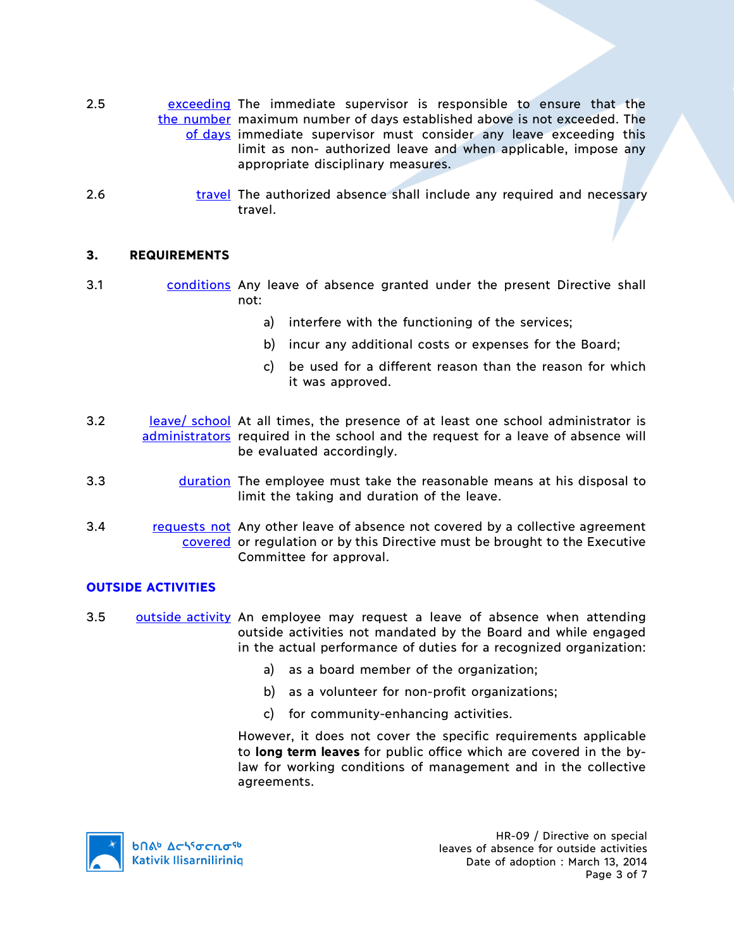- 2.5 exceeding The immediate supervisor is responsible to ensure that the the number maximum number of days established above is not exceeded. The of days immediate supervisor must consider any leave exceeding this limit as non- authorized leave and when applicable, impose any appropriate disciplinary measures.
- 2.6 travel The authorized absence shall include any required and necessary travel.

#### **3. REQUIREMENTS**

- 3.1 conditions Any leave of absence granted under the present Directive shall not:
	- a) interfere with the functioning of the services;
	- b) incur any additional costs or expenses for the Board;
	- c) be used for a different reason than the reason for which it was approved.
- 3.2 leave/ school At all times, the presence of at least one school administrator is administrators required in the school and the request for a leave of absence will be evaluated accordingly.
- 3.3 **duration** The employee must take the reasonable means at his disposal to limit the taking and duration of the leave.
- 3.4 requests not Any other leave of absence not covered by a collective agreement covered or regulation or by this Directive must be brought to the Executive Committee for approval.

#### **OUTSIDE ACTIVITIES**

- 3.5 **outside activity** An employee may request a leave of absence when attending outside activities not mandated by the Board and while engaged in the actual performance of duties for a recognized organization:
	- a) as a board member of the organization;
	- b) as a volunteer for non-profit organizations;
	- c) for community-enhancing activities.

However, it does not cover the specific requirements applicable to **long term leaves** for public office which are covered in the bylaw for working conditions of management and in the collective agreements.



HR-09 / Directive on special leaves of absence for outside activities Date of adoption : March 13, 2014 Page 3 of 7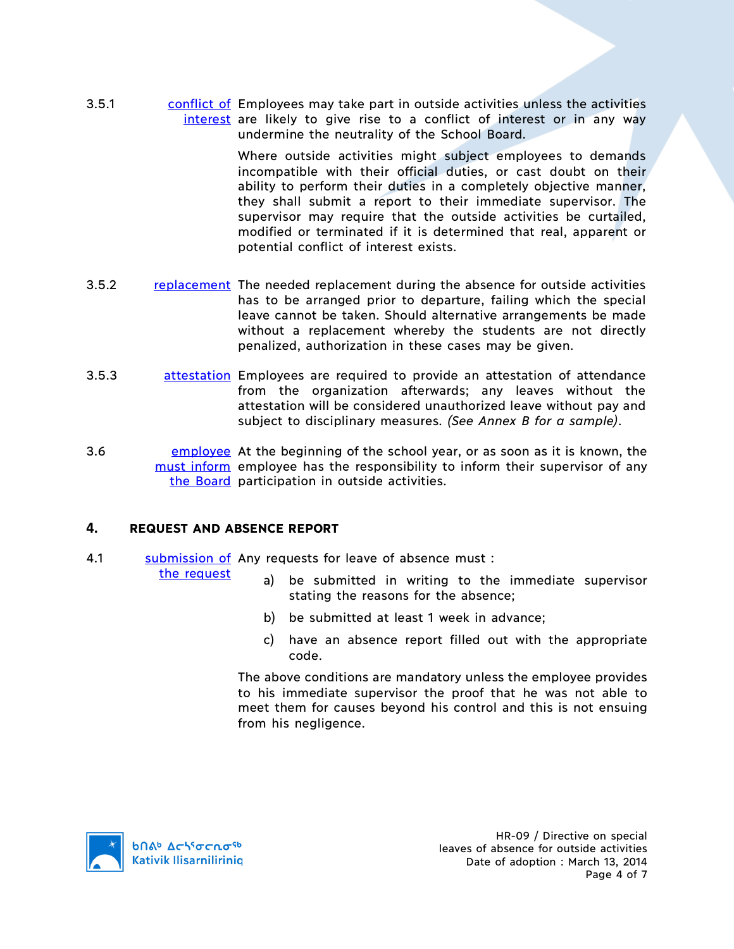3.5.1 conflict of Employees may take part in outside activities unless the activities interest are likely to give rise to a conflict of interest or in any way undermine the neutrality of the School Board.

> Where outside activities might subject employees to demands incompatible with their official duties, or cast doubt on their ability to perform their duties in a completely objective manner, they shall submit a report to their immediate supervisor. The supervisor may require that the outside activities be curtailed, modified or terminated if it is determined that real, apparent or potential conflict of interest exists.

- 3.5.2 replacement The needed replacement during the absence for outside activities has to be arranged prior to departure, failing which the special leave cannot be taken. Should alternative arrangements be made without a replacement whereby the students are not directly penalized, authorization in these cases may be given.
- 3.5.3 attestation Employees are required to provide an attestation of attendance from the organization afterwards; any leaves without the attestation will be considered unauthorized leave without pay and subject to disciplinary measures. *(See Annex B for a sample)*.
- 3.6 **EMPLOYEE** At the beginning of the school year, or as soon as it is known, the must inform employee has the responsibility to inform their supervisor of any the Board participation in outside activities.

#### **4. REQUEST AND ABSENCE REPORT**

4.1 Submission of Any requests for leave of absence must:

the request

- a) be submitted in writing to the immediate supervisor stating the reasons for the absence;
- b) be submitted at least 1 week in advance;
- c) have an absence report filled out with the appropriate code.

The above conditions are mandatory unless the employee provides to his immediate supervisor the proof that he was not able to meet them for causes beyond his control and this is not ensuing from his negligence.

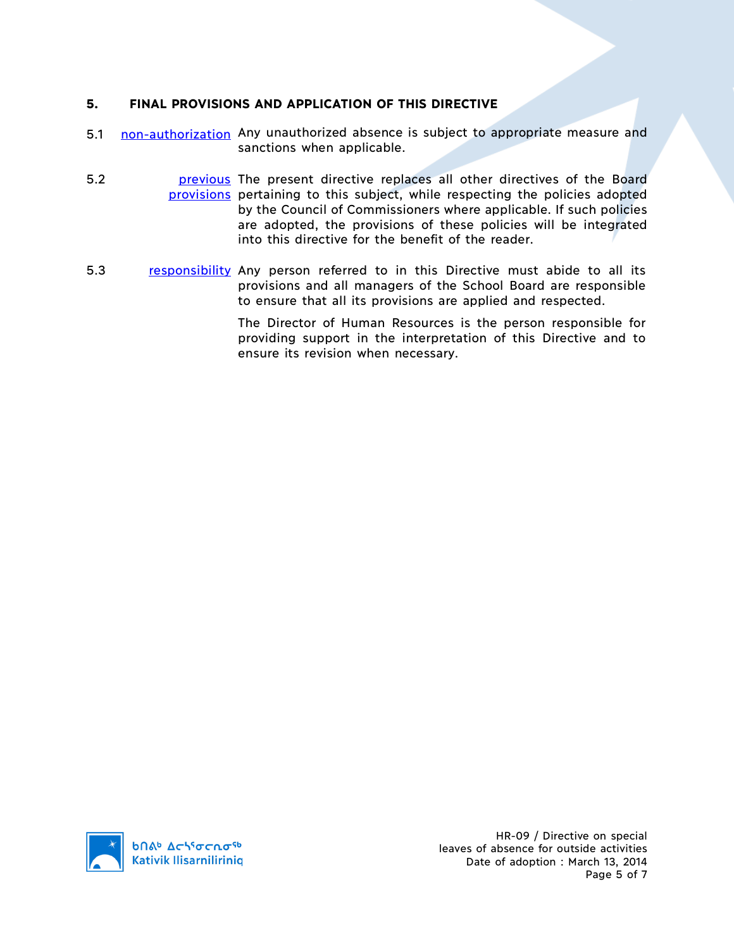## **5. FINAL PROVISIONS AND APPLICATION OF THIS DIRECTIVE**

- 5.1 non-authorization Any unauthorized absence is subject to appropriate measure and sanctions when applicable.
- 5.2 **bila previous** The present directive replaces all other directives of the Board provisions pertaining to this subject, while respecting the policies adopted by the Council of Commissioners where applicable. If such policies are adopted, the provisions of these policies will be integrated into this directive for the benefit of the reader.
- 5.3 responsibility Any person referred to in this Directive must abide to all its provisions and all managers of the School Board are responsible to ensure that all its provisions are applied and respected.

The Director of Human Resources is the person responsible for providing support in the interpretation of this Directive and to ensure its revision when necessary.

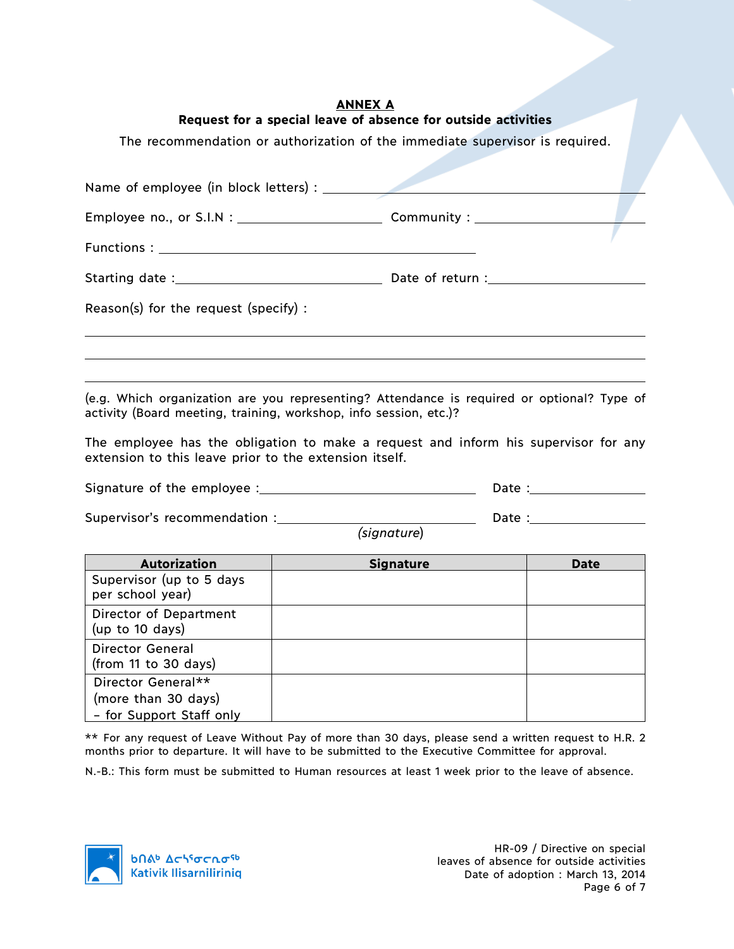## **ANNEX A Request for a special leave of absence for outside activities**

The recommendation or authorization of the immediate supervisor is required.

| Reason(s) for the request (specify) : |  |
|---------------------------------------|--|
|                                       |  |
|                                       |  |

(e.g. Which organization are you representing? Attendance is required or optional? Type of activity (Board meeting, training, workshop, info session, etc.)?

The employee has the obligation to make a request and inform his supervisor for any extension to this leave prior to the extension itself.

| Signature of the employee : | Date . |
|-----------------------------|--------|
|                             |        |

Supervisor's recommendation : Date :

*(signature*)

| <b>Autorization</b>                                                   | <b>Signature</b> | <b>Date</b> |
|-----------------------------------------------------------------------|------------------|-------------|
| Supervisor (up to 5 days<br>per school year)                          |                  |             |
| Director of Department<br>(up to 10 days)                             |                  |             |
| <b>Director General</b><br>(from 11 to 30 days)                       |                  |             |
| Director General**<br>(more than 30 days)<br>- for Support Staff only |                  |             |

\*\* For any request of Leave Without Pay of more than 30 days, please send a written request to H.R. 2 months prior to departure. It will have to be submitted to the Executive Committee for approval.

N.-B.: This form must be submitted to Human resources at least 1 week prior to the leave of absence.